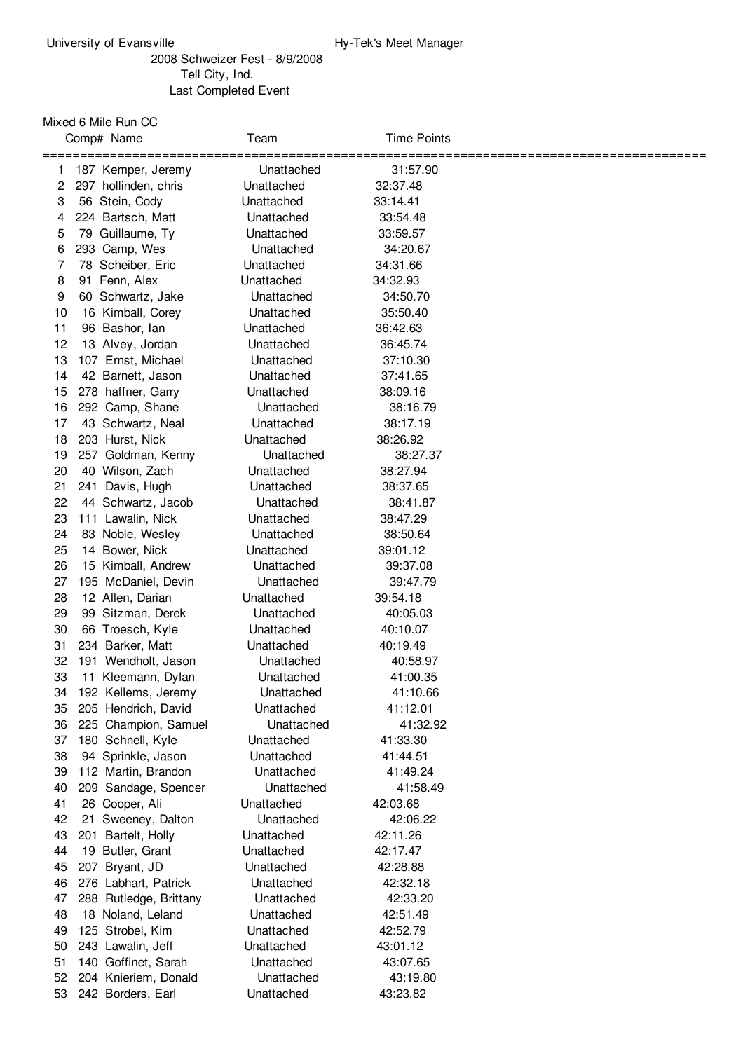## Schweizer Fest - 8/9/2008 Tell City, Ind. Last Completed Event

Mixed 6 Mile Run CC

|                                        | Team                                                                                                                                                                                                                                                                                                                                                                                                                                                                                                                                                                                                                                                                                                                                                                                                                                                                                                                                                                                                                                                                                                       | <b>Time Points</b>                                                                                                                                                                                                                                                                                                                                                                                                                                                                                                                                                                                                                                               |                                                                                                                                                                                                                                                                                                                                                                                                                                                                                                                                                                      |
|----------------------------------------|------------------------------------------------------------------------------------------------------------------------------------------------------------------------------------------------------------------------------------------------------------------------------------------------------------------------------------------------------------------------------------------------------------------------------------------------------------------------------------------------------------------------------------------------------------------------------------------------------------------------------------------------------------------------------------------------------------------------------------------------------------------------------------------------------------------------------------------------------------------------------------------------------------------------------------------------------------------------------------------------------------------------------------------------------------------------------------------------------------|------------------------------------------------------------------------------------------------------------------------------------------------------------------------------------------------------------------------------------------------------------------------------------------------------------------------------------------------------------------------------------------------------------------------------------------------------------------------------------------------------------------------------------------------------------------------------------------------------------------------------------------------------------------|----------------------------------------------------------------------------------------------------------------------------------------------------------------------------------------------------------------------------------------------------------------------------------------------------------------------------------------------------------------------------------------------------------------------------------------------------------------------------------------------------------------------------------------------------------------------|
|                                        |                                                                                                                                                                                                                                                                                                                                                                                                                                                                                                                                                                                                                                                                                                                                                                                                                                                                                                                                                                                                                                                                                                            |                                                                                                                                                                                                                                                                                                                                                                                                                                                                                                                                                                                                                                                                  |                                                                                                                                                                                                                                                                                                                                                                                                                                                                                                                                                                      |
|                                        |                                                                                                                                                                                                                                                                                                                                                                                                                                                                                                                                                                                                                                                                                                                                                                                                                                                                                                                                                                                                                                                                                                            |                                                                                                                                                                                                                                                                                                                                                                                                                                                                                                                                                                                                                                                                  |                                                                                                                                                                                                                                                                                                                                                                                                                                                                                                                                                                      |
|                                        |                                                                                                                                                                                                                                                                                                                                                                                                                                                                                                                                                                                                                                                                                                                                                                                                                                                                                                                                                                                                                                                                                                            |                                                                                                                                                                                                                                                                                                                                                                                                                                                                                                                                                                                                                                                                  |                                                                                                                                                                                                                                                                                                                                                                                                                                                                                                                                                                      |
|                                        |                                                                                                                                                                                                                                                                                                                                                                                                                                                                                                                                                                                                                                                                                                                                                                                                                                                                                                                                                                                                                                                                                                            |                                                                                                                                                                                                                                                                                                                                                                                                                                                                                                                                                                                                                                                                  |                                                                                                                                                                                                                                                                                                                                                                                                                                                                                                                                                                      |
|                                        |                                                                                                                                                                                                                                                                                                                                                                                                                                                                                                                                                                                                                                                                                                                                                                                                                                                                                                                                                                                                                                                                                                            |                                                                                                                                                                                                                                                                                                                                                                                                                                                                                                                                                                                                                                                                  |                                                                                                                                                                                                                                                                                                                                                                                                                                                                                                                                                                      |
|                                        |                                                                                                                                                                                                                                                                                                                                                                                                                                                                                                                                                                                                                                                                                                                                                                                                                                                                                                                                                                                                                                                                                                            |                                                                                                                                                                                                                                                                                                                                                                                                                                                                                                                                                                                                                                                                  |                                                                                                                                                                                                                                                                                                                                                                                                                                                                                                                                                                      |
|                                        |                                                                                                                                                                                                                                                                                                                                                                                                                                                                                                                                                                                                                                                                                                                                                                                                                                                                                                                                                                                                                                                                                                            |                                                                                                                                                                                                                                                                                                                                                                                                                                                                                                                                                                                                                                                                  |                                                                                                                                                                                                                                                                                                                                                                                                                                                                                                                                                                      |
|                                        |                                                                                                                                                                                                                                                                                                                                                                                                                                                                                                                                                                                                                                                                                                                                                                                                                                                                                                                                                                                                                                                                                                            |                                                                                                                                                                                                                                                                                                                                                                                                                                                                                                                                                                                                                                                                  |                                                                                                                                                                                                                                                                                                                                                                                                                                                                                                                                                                      |
|                                        |                                                                                                                                                                                                                                                                                                                                                                                                                                                                                                                                                                                                                                                                                                                                                                                                                                                                                                                                                                                                                                                                                                            |                                                                                                                                                                                                                                                                                                                                                                                                                                                                                                                                                                                                                                                                  |                                                                                                                                                                                                                                                                                                                                                                                                                                                                                                                                                                      |
|                                        |                                                                                                                                                                                                                                                                                                                                                                                                                                                                                                                                                                                                                                                                                                                                                                                                                                                                                                                                                                                                                                                                                                            |                                                                                                                                                                                                                                                                                                                                                                                                                                                                                                                                                                                                                                                                  |                                                                                                                                                                                                                                                                                                                                                                                                                                                                                                                                                                      |
|                                        |                                                                                                                                                                                                                                                                                                                                                                                                                                                                                                                                                                                                                                                                                                                                                                                                                                                                                                                                                                                                                                                                                                            |                                                                                                                                                                                                                                                                                                                                                                                                                                                                                                                                                                                                                                                                  |                                                                                                                                                                                                                                                                                                                                                                                                                                                                                                                                                                      |
|                                        |                                                                                                                                                                                                                                                                                                                                                                                                                                                                                                                                                                                                                                                                                                                                                                                                                                                                                                                                                                                                                                                                                                            |                                                                                                                                                                                                                                                                                                                                                                                                                                                                                                                                                                                                                                                                  |                                                                                                                                                                                                                                                                                                                                                                                                                                                                                                                                                                      |
|                                        |                                                                                                                                                                                                                                                                                                                                                                                                                                                                                                                                                                                                                                                                                                                                                                                                                                                                                                                                                                                                                                                                                                            |                                                                                                                                                                                                                                                                                                                                                                                                                                                                                                                                                                                                                                                                  |                                                                                                                                                                                                                                                                                                                                                                                                                                                                                                                                                                      |
|                                        |                                                                                                                                                                                                                                                                                                                                                                                                                                                                                                                                                                                                                                                                                                                                                                                                                                                                                                                                                                                                                                                                                                            |                                                                                                                                                                                                                                                                                                                                                                                                                                                                                                                                                                                                                                                                  |                                                                                                                                                                                                                                                                                                                                                                                                                                                                                                                                                                      |
|                                        |                                                                                                                                                                                                                                                                                                                                                                                                                                                                                                                                                                                                                                                                                                                                                                                                                                                                                                                                                                                                                                                                                                            |                                                                                                                                                                                                                                                                                                                                                                                                                                                                                                                                                                                                                                                                  |                                                                                                                                                                                                                                                                                                                                                                                                                                                                                                                                                                      |
|                                        |                                                                                                                                                                                                                                                                                                                                                                                                                                                                                                                                                                                                                                                                                                                                                                                                                                                                                                                                                                                                                                                                                                            |                                                                                                                                                                                                                                                                                                                                                                                                                                                                                                                                                                                                                                                                  |                                                                                                                                                                                                                                                                                                                                                                                                                                                                                                                                                                      |
|                                        |                                                                                                                                                                                                                                                                                                                                                                                                                                                                                                                                                                                                                                                                                                                                                                                                                                                                                                                                                                                                                                                                                                            |                                                                                                                                                                                                                                                                                                                                                                                                                                                                                                                                                                                                                                                                  |                                                                                                                                                                                                                                                                                                                                                                                                                                                                                                                                                                      |
|                                        |                                                                                                                                                                                                                                                                                                                                                                                                                                                                                                                                                                                                                                                                                                                                                                                                                                                                                                                                                                                                                                                                                                            |                                                                                                                                                                                                                                                                                                                                                                                                                                                                                                                                                                                                                                                                  |                                                                                                                                                                                                                                                                                                                                                                                                                                                                                                                                                                      |
|                                        |                                                                                                                                                                                                                                                                                                                                                                                                                                                                                                                                                                                                                                                                                                                                                                                                                                                                                                                                                                                                                                                                                                            |                                                                                                                                                                                                                                                                                                                                                                                                                                                                                                                                                                                                                                                                  |                                                                                                                                                                                                                                                                                                                                                                                                                                                                                                                                                                      |
|                                        |                                                                                                                                                                                                                                                                                                                                                                                                                                                                                                                                                                                                                                                                                                                                                                                                                                                                                                                                                                                                                                                                                                            |                                                                                                                                                                                                                                                                                                                                                                                                                                                                                                                                                                                                                                                                  |                                                                                                                                                                                                                                                                                                                                                                                                                                                                                                                                                                      |
|                                        |                                                                                                                                                                                                                                                                                                                                                                                                                                                                                                                                                                                                                                                                                                                                                                                                                                                                                                                                                                                                                                                                                                            |                                                                                                                                                                                                                                                                                                                                                                                                                                                                                                                                                                                                                                                                  |                                                                                                                                                                                                                                                                                                                                                                                                                                                                                                                                                                      |
|                                        |                                                                                                                                                                                                                                                                                                                                                                                                                                                                                                                                                                                                                                                                                                                                                                                                                                                                                                                                                                                                                                                                                                            |                                                                                                                                                                                                                                                                                                                                                                                                                                                                                                                                                                                                                                                                  |                                                                                                                                                                                                                                                                                                                                                                                                                                                                                                                                                                      |
|                                        |                                                                                                                                                                                                                                                                                                                                                                                                                                                                                                                                                                                                                                                                                                                                                                                                                                                                                                                                                                                                                                                                                                            |                                                                                                                                                                                                                                                                                                                                                                                                                                                                                                                                                                                                                                                                  |                                                                                                                                                                                                                                                                                                                                                                                                                                                                                                                                                                      |
|                                        |                                                                                                                                                                                                                                                                                                                                                                                                                                                                                                                                                                                                                                                                                                                                                                                                                                                                                                                                                                                                                                                                                                            |                                                                                                                                                                                                                                                                                                                                                                                                                                                                                                                                                                                                                                                                  |                                                                                                                                                                                                                                                                                                                                                                                                                                                                                                                                                                      |
|                                        |                                                                                                                                                                                                                                                                                                                                                                                                                                                                                                                                                                                                                                                                                                                                                                                                                                                                                                                                                                                                                                                                                                            |                                                                                                                                                                                                                                                                                                                                                                                                                                                                                                                                                                                                                                                                  |                                                                                                                                                                                                                                                                                                                                                                                                                                                                                                                                                                      |
|                                        |                                                                                                                                                                                                                                                                                                                                                                                                                                                                                                                                                                                                                                                                                                                                                                                                                                                                                                                                                                                                                                                                                                            |                                                                                                                                                                                                                                                                                                                                                                                                                                                                                                                                                                                                                                                                  |                                                                                                                                                                                                                                                                                                                                                                                                                                                                                                                                                                      |
|                                        |                                                                                                                                                                                                                                                                                                                                                                                                                                                                                                                                                                                                                                                                                                                                                                                                                                                                                                                                                                                                                                                                                                            |                                                                                                                                                                                                                                                                                                                                                                                                                                                                                                                                                                                                                                                                  |                                                                                                                                                                                                                                                                                                                                                                                                                                                                                                                                                                      |
|                                        |                                                                                                                                                                                                                                                                                                                                                                                                                                                                                                                                                                                                                                                                                                                                                                                                                                                                                                                                                                                                                                                                                                            |                                                                                                                                                                                                                                                                                                                                                                                                                                                                                                                                                                                                                                                                  |                                                                                                                                                                                                                                                                                                                                                                                                                                                                                                                                                                      |
|                                        |                                                                                                                                                                                                                                                                                                                                                                                                                                                                                                                                                                                                                                                                                                                                                                                                                                                                                                                                                                                                                                                                                                            |                                                                                                                                                                                                                                                                                                                                                                                                                                                                                                                                                                                                                                                                  |                                                                                                                                                                                                                                                                                                                                                                                                                                                                                                                                                                      |
|                                        |                                                                                                                                                                                                                                                                                                                                                                                                                                                                                                                                                                                                                                                                                                                                                                                                                                                                                                                                                                                                                                                                                                            |                                                                                                                                                                                                                                                                                                                                                                                                                                                                                                                                                                                                                                                                  |                                                                                                                                                                                                                                                                                                                                                                                                                                                                                                                                                                      |
|                                        |                                                                                                                                                                                                                                                                                                                                                                                                                                                                                                                                                                                                                                                                                                                                                                                                                                                                                                                                                                                                                                                                                                            |                                                                                                                                                                                                                                                                                                                                                                                                                                                                                                                                                                                                                                                                  |                                                                                                                                                                                                                                                                                                                                                                                                                                                                                                                                                                      |
|                                        |                                                                                                                                                                                                                                                                                                                                                                                                                                                                                                                                                                                                                                                                                                                                                                                                                                                                                                                                                                                                                                                                                                            |                                                                                                                                                                                                                                                                                                                                                                                                                                                                                                                                                                                                                                                                  |                                                                                                                                                                                                                                                                                                                                                                                                                                                                                                                                                                      |
|                                        |                                                                                                                                                                                                                                                                                                                                                                                                                                                                                                                                                                                                                                                                                                                                                                                                                                                                                                                                                                                                                                                                                                            |                                                                                                                                                                                                                                                                                                                                                                                                                                                                                                                                                                                                                                                                  |                                                                                                                                                                                                                                                                                                                                                                                                                                                                                                                                                                      |
|                                        |                                                                                                                                                                                                                                                                                                                                                                                                                                                                                                                                                                                                                                                                                                                                                                                                                                                                                                                                                                                                                                                                                                            |                                                                                                                                                                                                                                                                                                                                                                                                                                                                                                                                                                                                                                                                  |                                                                                                                                                                                                                                                                                                                                                                                                                                                                                                                                                                      |
|                                        |                                                                                                                                                                                                                                                                                                                                                                                                                                                                                                                                                                                                                                                                                                                                                                                                                                                                                                                                                                                                                                                                                                            |                                                                                                                                                                                                                                                                                                                                                                                                                                                                                                                                                                                                                                                                  |                                                                                                                                                                                                                                                                                                                                                                                                                                                                                                                                                                      |
|                                        |                                                                                                                                                                                                                                                                                                                                                                                                                                                                                                                                                                                                                                                                                                                                                                                                                                                                                                                                                                                                                                                                                                            |                                                                                                                                                                                                                                                                                                                                                                                                                                                                                                                                                                                                                                                                  |                                                                                                                                                                                                                                                                                                                                                                                                                                                                                                                                                                      |
|                                        |                                                                                                                                                                                                                                                                                                                                                                                                                                                                                                                                                                                                                                                                                                                                                                                                                                                                                                                                                                                                                                                                                                            |                                                                                                                                                                                                                                                                                                                                                                                                                                                                                                                                                                                                                                                                  |                                                                                                                                                                                                                                                                                                                                                                                                                                                                                                                                                                      |
|                                        |                                                                                                                                                                                                                                                                                                                                                                                                                                                                                                                                                                                                                                                                                                                                                                                                                                                                                                                                                                                                                                                                                                            |                                                                                                                                                                                                                                                                                                                                                                                                                                                                                                                                                                                                                                                                  |                                                                                                                                                                                                                                                                                                                                                                                                                                                                                                                                                                      |
|                                        |                                                                                                                                                                                                                                                                                                                                                                                                                                                                                                                                                                                                                                                                                                                                                                                                                                                                                                                                                                                                                                                                                                            |                                                                                                                                                                                                                                                                                                                                                                                                                                                                                                                                                                                                                                                                  |                                                                                                                                                                                                                                                                                                                                                                                                                                                                                                                                                                      |
|                                        |                                                                                                                                                                                                                                                                                                                                                                                                                                                                                                                                                                                                                                                                                                                                                                                                                                                                                                                                                                                                                                                                                                            |                                                                                                                                                                                                                                                                                                                                                                                                                                                                                                                                                                                                                                                                  |                                                                                                                                                                                                                                                                                                                                                                                                                                                                                                                                                                      |
|                                        |                                                                                                                                                                                                                                                                                                                                                                                                                                                                                                                                                                                                                                                                                                                                                                                                                                                                                                                                                                                                                                                                                                            |                                                                                                                                                                                                                                                                                                                                                                                                                                                                                                                                                                                                                                                                  |                                                                                                                                                                                                                                                                                                                                                                                                                                                                                                                                                                      |
|                                        |                                                                                                                                                                                                                                                                                                                                                                                                                                                                                                                                                                                                                                                                                                                                                                                                                                                                                                                                                                                                                                                                                                            |                                                                                                                                                                                                                                                                                                                                                                                                                                                                                                                                                                                                                                                                  |                                                                                                                                                                                                                                                                                                                                                                                                                                                                                                                                                                      |
|                                        |                                                                                                                                                                                                                                                                                                                                                                                                                                                                                                                                                                                                                                                                                                                                                                                                                                                                                                                                                                                                                                                                                                            |                                                                                                                                                                                                                                                                                                                                                                                                                                                                                                                                                                                                                                                                  |                                                                                                                                                                                                                                                                                                                                                                                                                                                                                                                                                                      |
|                                        |                                                                                                                                                                                                                                                                                                                                                                                                                                                                                                                                                                                                                                                                                                                                                                                                                                                                                                                                                                                                                                                                                                            |                                                                                                                                                                                                                                                                                                                                                                                                                                                                                                                                                                                                                                                                  |                                                                                                                                                                                                                                                                                                                                                                                                                                                                                                                                                                      |
|                                        |                                                                                                                                                                                                                                                                                                                                                                                                                                                                                                                                                                                                                                                                                                                                                                                                                                                                                                                                                                                                                                                                                                            |                                                                                                                                                                                                                                                                                                                                                                                                                                                                                                                                                                                                                                                                  |                                                                                                                                                                                                                                                                                                                                                                                                                                                                                                                                                                      |
|                                        |                                                                                                                                                                                                                                                                                                                                                                                                                                                                                                                                                                                                                                                                                                                                                                                                                                                                                                                                                                                                                                                                                                            |                                                                                                                                                                                                                                                                                                                                                                                                                                                                                                                                                                                                                                                                  |                                                                                                                                                                                                                                                                                                                                                                                                                                                                                                                                                                      |
|                                        | Unattached                                                                                                                                                                                                                                                                                                                                                                                                                                                                                                                                                                                                                                                                                                                                                                                                                                                                                                                                                                                                                                                                                                 | 42:33.20                                                                                                                                                                                                                                                                                                                                                                                                                                                                                                                                                                                                                                                         |                                                                                                                                                                                                                                                                                                                                                                                                                                                                                                                                                                      |
| 18 Noland, Leland                      | Unattached                                                                                                                                                                                                                                                                                                                                                                                                                                                                                                                                                                                                                                                                                                                                                                                                                                                                                                                                                                                                                                                                                                 | 42:51.49                                                                                                                                                                                                                                                                                                                                                                                                                                                                                                                                                                                                                                                         |                                                                                                                                                                                                                                                                                                                                                                                                                                                                                                                                                                      |
|                                        | Unattached                                                                                                                                                                                                                                                                                                                                                                                                                                                                                                                                                                                                                                                                                                                                                                                                                                                                                                                                                                                                                                                                                                 | 42:52.79                                                                                                                                                                                                                                                                                                                                                                                                                                                                                                                                                                                                                                                         |                                                                                                                                                                                                                                                                                                                                                                                                                                                                                                                                                                      |
|                                        | Unattached                                                                                                                                                                                                                                                                                                                                                                                                                                                                                                                                                                                                                                                                                                                                                                                                                                                                                                                                                                                                                                                                                                 | 43:01.12                                                                                                                                                                                                                                                                                                                                                                                                                                                                                                                                                                                                                                                         |                                                                                                                                                                                                                                                                                                                                                                                                                                                                                                                                                                      |
|                                        | Unattached                                                                                                                                                                                                                                                                                                                                                                                                                                                                                                                                                                                                                                                                                                                                                                                                                                                                                                                                                                                                                                                                                                 | 43:07.65                                                                                                                                                                                                                                                                                                                                                                                                                                                                                                                                                                                                                                                         |                                                                                                                                                                                                                                                                                                                                                                                                                                                                                                                                                                      |
| 204 Knieriem, Donald                   | Unattached                                                                                                                                                                                                                                                                                                                                                                                                                                                                                                                                                                                                                                                                                                                                                                                                                                                                                                                                                                                                                                                                                                 | 43:19.80                                                                                                                                                                                                                                                                                                                                                                                                                                                                                                                                                                                                                                                         |                                                                                                                                                                                                                                                                                                                                                                                                                                                                                                                                                                      |
| 242 Borders, Earl                      | Unattached                                                                                                                                                                                                                                                                                                                                                                                                                                                                                                                                                                                                                                                                                                                                                                                                                                                                                                                                                                                                                                                                                                 | 43:23.82                                                                                                                                                                                                                                                                                                                                                                                                                                                                                                                                                                                                                                                         |                                                                                                                                                                                                                                                                                                                                                                                                                                                                                                                                                                      |
| 16<br>33<br>34<br>35<br>42<br>43<br>44 | Comp# Name<br>187 Kemper, Jeremy<br>297 hollinden, chris<br>56 Stein, Cody<br>224 Bartsch, Matt<br>79 Guillaume, Ty<br>293 Camp, Wes<br>78 Scheiber, Eric<br>91 Fenn, Alex<br>60 Schwartz, Jake<br>16 Kimball, Corey<br>96 Bashor, lan<br>13 Alvey, Jordan<br>107 Ernst, Michael<br>42 Barnett, Jason<br>278 haffner, Garry<br>292 Camp, Shane<br>43 Schwartz, Neal<br>203 Hurst, Nick<br>257 Goldman, Kenny<br>40 Wilson, Zach<br>241 Davis, Hugh<br>44 Schwartz, Jacob<br>111 Lawalin, Nick<br>83 Noble, Wesley<br>14 Bower, Nick<br>15 Kimball, Andrew<br>195 McDaniel, Devin<br>12 Allen, Darian<br>99 Sitzman, Derek<br>66 Troesch, Kyle<br>234 Barker, Matt<br>191 Wendholt, Jason<br>11 Kleemann, Dylan<br>192 Kellems, Jeremy<br>205 Hendrich, David<br>225 Champion, Samuel<br>180 Schnell, Kyle<br>94 Sprinkle, Jason<br>112 Martin, Brandon<br>209 Sandage, Spencer<br>26 Cooper, Ali<br>21 Sweeney, Dalton<br>201 Bartelt, Holly<br>19 Butler, Grant<br>207 Bryant, JD<br>276 Labhart, Patrick<br>288 Rutledge, Brittany<br>125 Strobel, Kim<br>243 Lawalin, Jeff<br>140 Goffinet, Sarah<br>53 | Unattached<br>Unattached<br>Unattached<br>Unattached<br>Unattached<br>Unattached<br>Unattached<br>Unattached<br>Unattached<br>Unattached<br>Unattached<br>Unattached<br>Unattached<br>Unattached<br>Unattached<br>Unattached<br>Unattached<br>Unattached<br>Unattached<br>Unattached<br>Unattached<br>Unattached<br>Unattached<br>Unattached<br>Unattached<br>Unattached<br>Unattached<br>Unattached<br>Unattached<br>Unattached<br>Unattached<br>Unattached<br>Unattached<br>Unattached<br>Unattached<br>Unattached<br>Unattached<br>Unattached<br>Unattached<br>Unattached<br>Unattached<br>Unattached<br>Unattached<br>Unattached<br>Unattached<br>Unattached | 31:57.90<br>32:37.48<br>33:14.41<br>33:54.48<br>33:59.57<br>34:20.67<br>34:31.66<br>34:32.93<br>34:50.70<br>35:50.40<br>36:42.63<br>36:45.74<br>37:10.30<br>37:41.65<br>38:09.16<br>38:16.79<br>38:17.19<br>38:26.92<br>38:27.37<br>38:27.94<br>38:37.65<br>38:41.87<br>38:47.29<br>38:50.64<br>39:01.12<br>39:37.08<br>39:47.79<br>39:54.18<br>40:05.03<br>40:10.07<br>40:19.49<br>40:58.97<br>41:00.35<br>41:10.66<br>41:12.01<br>41:32.92<br>41:33.30<br>41:44.51<br>41:49.24<br>41:58.49<br>42:03.68<br>42:06.22<br>42:11.26<br>42:17.47<br>42:28.88<br>42:32.18 |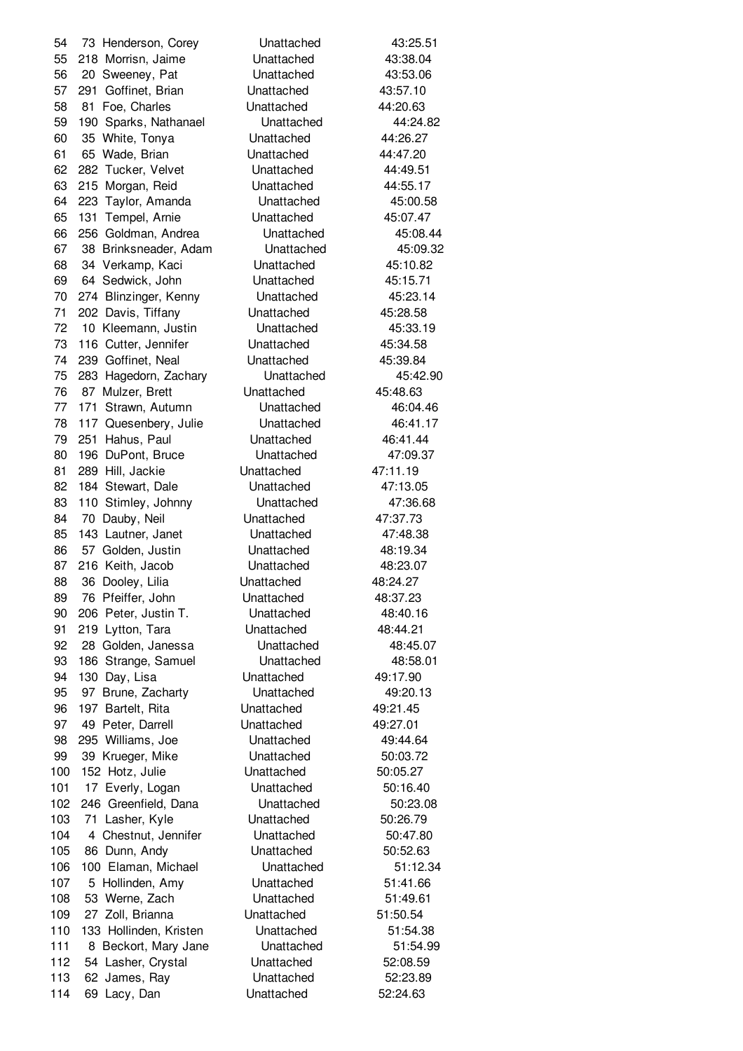73 Henderson, Corey Unattached 43:25.51 218 Morrisn, Jaime Unattached 43:38.04 20 Sweeney, Pat Unattached 43:53.06 291 Goffinet, Brian Unattached 43:57.10 81 Foe, Charles Unattached 44:20.63 190 Sparks, Nathanael Unattached 44:24.82 35 White, Tonya Unattached 44:26.27 65 Wade, Brian Unattached 44:47.20 282 Tucker, Velvet Unattached 44:49.51 215 Morgan, Reid Unattached 44:55.17 223 Taylor, Amanda Unattached 45:00.58 131 Tempel, Arnie Unattached 45:07.47 256 Goldman, Andrea Unattached 45:08.44 38 Brinksneader, Adam Unattached 45:09.32 34 Verkamp, Kaci Unattached 45:10.82 64 Sedwick, John Unattached 45:15.71 274 Blinzinger, Kenny Unattached 45:23.14 202 Davis, Tiffany Unattached 45:28.58 10 Kleemann, Justin Unattached 45:33.19 116 Cutter, Jennifer Unattached 45:34.58 239 Goffinet, Neal Unattached 45:39.84 283 Hagedorn, Zachary Unattached 45:42.90 87 Mulzer, Brett Unattached 45:48.63 171 Strawn, Autumn Unattached 46:04.46 117 Quesenbery, Julie Unattached 46:41.17 251 Hahus, Paul Unattached 46:41.44 80 196 DuPont, Bruce Unattached 47:09.37 289 Hill, Jackie Unattached 47:11.19 82 184 Stewart, Dale **Unattached** 47:13.05 83 110 Stimley, Johnny Unattached 47:36.68 84 70 Dauby, Neil **Unattached** 47:37.73 85 143 Lautner, Janet Unattached 47:48.38 86 57 Golden, Justin **Unattached** 48:19.34 216 Keith, Jacob Unattached 48:23.07 88 36 Dooley, Lilia **Unattached** 48:24.27 76 Pfeiffer, John Unattached 48:37.23 206 Peter, Justin T. Unattached 48:40.16 219 Lytton, Tara Unattached 48:44.21 28 Golden, Janessa Unattached 48:45.07 186 Strange, Samuel Unattached 48:58.01 130 Day, Lisa Unattached 49:17.90 97 Brune, Zacharty Unattached 49:20.13 197 Bartelt, Rita Unattached 49:21.45 97 49 Peter, Darrell **Unattached** 49:27.01 295 Williams, Joe Unattached 49:44.64 99 39 Krueger, Mike Unattached 50:03.72 152 Hotz, Julie Unattached 50:05.27 101 17 Everly, Logan Unattached 50:16.40 246 Greenfield, Dana Unattached 50:23.08 103 71 Lasher, Kyle Unattached 50:26.79 104 4 Chestnut, Jennifer Unattached 50:47.80 105 86 Dunn, Andy **Unattached** 50:52.63 100 Elaman, Michael Unattached 51:12.34 5 Hollinden, Amy Unattached 51:41.66 108 53 Werne, Zach **Unattached** 51:49.61 27 Zoll, Brianna Unattached 51:50.54 133 Hollinden, Kristen Unattached 51:54.38 111 8 Beckort, Mary Jane Unattached 51:54.99 112 54 Lasher, Crystal Unattached 52:08.59 113 62 James, Ray **Unattached** 52:23.89 114 69 Lacy, Dan Unattached 52:24.63